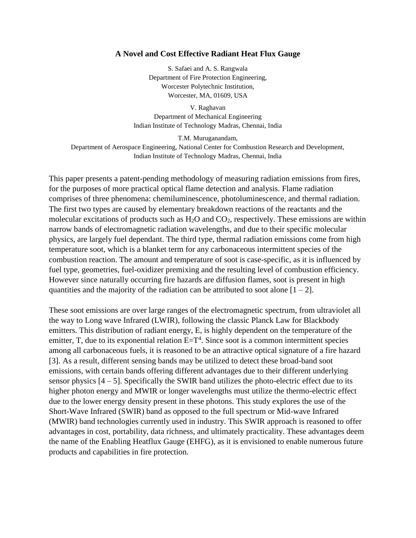## **A Novel and Cost Effective Radiant Heat Flux Gauge**

S. Safaei and A. S. Rangwala Department of Fire Protection Engineering, Worcester Polytechnic Institution, Worcester, MA, 01609, USA

V. Raghavan Department of Mechanical Engineering Indian Institute of Technology Madras, Chennai, India

T.M. Muruganandam, Department of Aerospace Engineering, National Center for Combustion Research and Development, Indian Institute of Technology Madras, Chennai, India

This paper presents a patent-pending methodology of measuring radiation emissions from fires, for the purposes of more practical optical flame detection and analysis. Flame radiation comprises of three phenomena: chemiluminescence, photoluminescence, and thermal radiation. The first two types are caused by elementary breakdown reactions of the reactants and the molecular excitations of products such as  $H_2O$  and  $CO_2$ , respectively. These emissions are within narrow bands of electromagnetic radiation wavelengths, and due to their specific molecular physics, are largely fuel dependant. The third type, thermal radiation emissions come from high temperature soot, which is a blanket term for any carbonaceous intermittent species of the combustion reaction. The amount and temperature of soot is case-specific, as it is influenced by fuel type, geometries, fuel-oxidizer premixing and the resulting level of combustion efficiency. However since naturally occurring fire hazards are diffusion flames, soot is present in high quantities and the majority of the radiation can be attributed to soot alone  $[1 - 2]$ .

These soot emissions are over large ranges of the electromagnetic spectrum, from ultraviolet all the way to Long wave Infrared (LWIR), following the classic Planck Law for Blackbody emitters. This distribution of radiant energy, E, is highly dependent on the temperature of the emitter, T, due to its exponential relation  $E=T<sup>4</sup>$ . Since soot is a common intermittent species among all carbonaceous fuels, it is reasoned to be an attractive optical signature of a fire hazard [3]. As a result, different sensing bands may be utilized to detect these broad-band soot emissions, with certain bands offering different advantages due to their different underlying sensor physics  $[4 - 5]$ . Specifically the SWIR band utilizes the photo-electric effect due to its higher photon energy and MWIR or longer wavelengths must utilize the thermo-electric effect due to the lower energy density present in these photons. This study explores the use of the Short-Wave Infrared (SWIR) band as opposed to the full spectrum or Mid-wave Infrared (MWIR) band technologies currently used in industry. This SWIR approach is reasoned to offer advantages in cost, portability, data richness, and ultimately practicality. These advantages deem the name of the Enabling Heatflux Gauge (EHFG), as it is envisioned to enable numerous future products and capabilities in fire protection.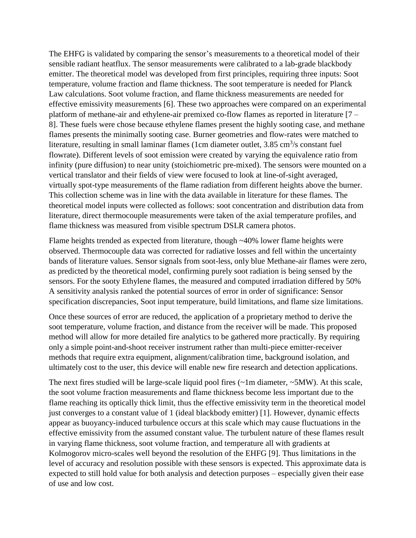The EHFG is validated by comparing the sensor's measurements to a theoretical model of their sensible radiant heatflux. The sensor measurements were calibrated to a lab-grade blackbody emitter. The theoretical model was developed from first principles, requiring three inputs: Soot temperature, volume fraction and flame thickness. The soot temperature is needed for Planck Law calculations. Soot volume fraction, and flame thickness measurements are needed for effective emissivity measurements [6]. These two approaches were compared on an experimental platform of methane-air and ethylene-air premixed co-flow flames as reported in literature [7 – 8]. These fuels were chose because ethylene flames present the highly sooting case, and methane flames presents the minimally sooting case. Burner geometries and flow-rates were matched to literature, resulting in small laminar flames (1cm diameter outlet,  $3.85 \text{ cm}^3/\text{s}$  constant fuel flowrate). Different levels of soot emission were created by varying the equivalence ratio from infinity (pure diffusion) to near unity (stoichiometric pre-mixed). The sensors were mounted on a vertical translator and their fields of view were focused to look at line-of-sight averaged, virtually spot-type measurements of the flame radiation from different heights above the burner. This collection scheme was in line with the data available in literature for these flames. The theoretical model inputs were collected as follows: soot concentration and distribution data from literature, direct thermocouple measurements were taken of the axial temperature profiles, and flame thickness was measured from visible spectrum DSLR camera photos.

Flame heights trended as expected from literature, though ~40% lower flame heights were observed. Thermocouple data was corrected for radiative losses and fell within the uncertainty bands of literature values. Sensor signals from soot-less, only blue Methane-air flames were zero, as predicted by the theoretical model, confirming purely soot radiation is being sensed by the sensors. For the sooty Ethylene flames, the measured and computed irradiation differed by 50% A sensitivity analysis ranked the potential sources of error in order of significance: Sensor specification discrepancies, Soot input temperature, build limitations, and flame size limitations.

Once these sources of error are reduced, the application of a proprietary method to derive the soot temperature, volume fraction, and distance from the receiver will be made. This proposed method will allow for more detailed fire analytics to be gathered more practically. By requiring only a simple point-and-shoot receiver instrument rather than multi-piece emitter-receiver methods that require extra equipment, alignment/calibration time, background isolation, and ultimately cost to the user, this device will enable new fire research and detection applications.

The next fires studied will be large-scale liquid pool fires  $(\sim 1 \text{m}$  diameter,  $\sim 5 \text{MW})$ . At this scale, the soot volume fraction measurements and flame thickness become less important due to the flame reaching its optically thick limit, thus the effective emissivity term in the theoretical model just converges to a constant value of 1 (ideal blackbody emitter) [1]. However, dynamic effects appear as buoyancy-induced turbulence occurs at this scale which may cause fluctuations in the effective emissivity from the assumed constant value. The turbulent nature of these flames result in varying flame thickness, soot volume fraction, and temperature all with gradients at Kolmogorov micro-scales well beyond the resolution of the EHFG [9]. Thus limitations in the level of accuracy and resolution possible with these sensors is expected. This approximate data is expected to still hold value for both analysis and detection purposes – especially given their ease of use and low cost.